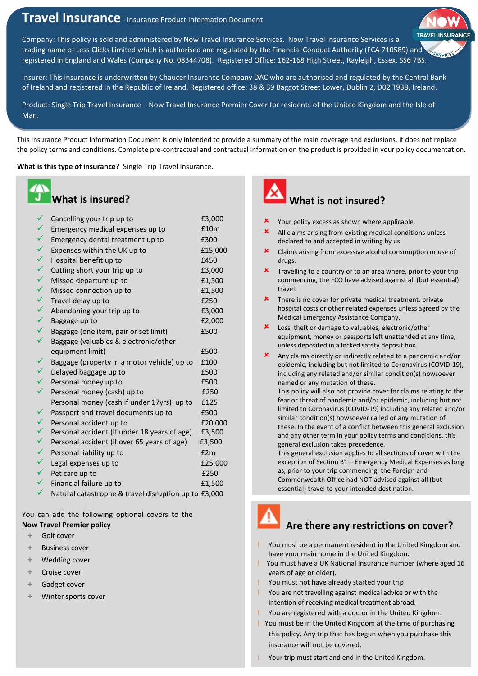# **Travel Insurance** - Insurance Product Information Document

Company: This policy is sold and administered by Now Travel Insurance Services. Now Travel Insurance Services is a trading name of Less Clicks Limited which is authorised and regulated by the Financial Conduct Authority (FCA 710589) and registered in England and Wales (Company No. 08344708). Registered Office: 162-168 High Street, Rayleigh, Essex. SS6 7BS.

Insurer: This insurance is underwritten by Chaucer Insurance Company DAC who are authorised and regulated by the Central Bank of Ireland and registered in the Republic of Ireland. Registered office: 38 & 39 Baggot Street Lower, Dublin 2, D02 T938, Ireland.

Product: Single Trip Travel Insurance – Now Travel Insurance Premier Cover for residents of the United Kingdom and the Isle of Man.

This Insurance Product Information Document is only intended to provide a summary of the main coverage and exclusions, it does not replace the policy terms and conditions. Complete pre-contractual and contractual information on the product is provided in your policy documentation.

**What is this type of insurance?** Single Trip Travel Insurance.

#### **What is insured?**

| $\checkmark$ | Cancelling your trip up to                           | £3,000  |
|--------------|------------------------------------------------------|---------|
| $\checkmark$ | Emergency medical expenses up to                     | £10m    |
| $\checkmark$ | Emergency dental treatment up to                     | £300    |
| $\checkmark$ | Expenses within the UK up to                         | £15,000 |
| $\checkmark$ | Hospital benefit up to                               | £450    |
| $\checkmark$ | Cutting short your trip up to                        | £3,000  |
| $\checkmark$ | Missed departure up to                               | £1,500  |
| $\checkmark$ | Missed connection up to                              | £1,500  |
| $\checkmark$ | Travel delay up to                                   | £250    |
| $\checkmark$ | Abandoning your trip up to                           | £3,000  |
| $\checkmark$ | Baggage up to                                        | £2,000  |
| $\checkmark$ | Baggage (one item, pair or set limit)                | £500    |
| ✓            | Baggage (valuables & electronic/other                |         |
|              | equipment limit)                                     | £500    |
|              | Baggage (property in a motor vehicle) up to          | £100    |
| $\checkmark$ | Delayed baggage up to                                | £500    |
|              | Personal money up to                                 | £500    |
| ✓            | Personal money (cash) up to                          | £250    |
|              | Personal money (cash if under 17yrs) up to           | £125    |
| $\checkmark$ | Passport and travel documents up to                  | £500    |
| $\checkmark$ | Personal accident up to                              | £20,000 |
| $\checkmark$ | Personal accident (If under 18 years of age)         | £3,500  |
| $\checkmark$ | Personal accident (if over 65 years of age)          | £3,500  |
| $\checkmark$ | Personal liability up to                             | E2m     |
| $\checkmark$ | Legal expenses up to                                 | £25,000 |
| $\checkmark$ | Pet care up to                                       | £250    |
| ✓            | Financial failure up to                              | £1,500  |
| ✓            | Natural catastrophe & travel disruption up to £3,000 |         |

You can add the following optional covers to the **Now Travel Premier policy**

- **+** Golf cover
- **+** Business cover
- **+** Wedding cover
- **+** Cruise cover
- **+** Gadget cover
- **+** Winter sports cover



## **What is not insured?**

- **X** Your policy excess as shown where applicable.
- All claims arising from existing medical conditions unless declared to and accepted in writing by us.
- Claims arising from excessive alcohol consumption or use of drugs.
- **\*** Travelling to a country or to an area where, prior to your trip commencing, the FCO have advised against all (but essential) travel.
- $\boldsymbol{\mathsf{x}}$  There is no cover for private medical treatment, private hospital costs or other related expenses unless agreed by the Medical Emergency Assistance Company.
- Loss, theft or damage to valuables, electronic/other equipment, money or passports left unattended at any time, unless deposited in a locked safety deposit box.
- Any claims directly or indirectly related to a pandemic and/or epidemic, including but not limited to Coronavirus (COVID-19), including any related and/or similar condition(s) howsoever named or any mutation of these.

This policy will also not provide cover for claims relating to the fear or threat of pandemic and/or epidemic, including but not limited to Coronavirus (COVID-19) including any related and/or similar condition(s) howsoever called or any mutation of these. In the event of a conflict between this general exclusion and any other term in your policy terms and conditions, this general exclusion takes precedence.

This general exclusion applies to all sections of cover with the exception of Section B1 – Emergency Medical Expenses as long as, prior to your trip commencing, the Foreign and Commonwealth Office had NOT advised against all (but essential) travel to your intended destination.

# **Are there any restrictions on cover?**

- **!** You must be a permanent resident in the United Kingdom and have your main home in the United Kingdom.
- **!** You must have a UK National Insurance number (where aged 16 years of age or older).
- **!** You must not have already started your trip
- **!** You are not travelling against medical advice or with the intention of receiving medical treatment abroad.
- **!** You are registered with a doctor in the United Kingdom.
- **!** You must be in the United Kingdom at the time of purchasing this policy. Any trip that has begun when you purchase this insurance will not be covered.
- Your trip must start and end in the United Kingdom.